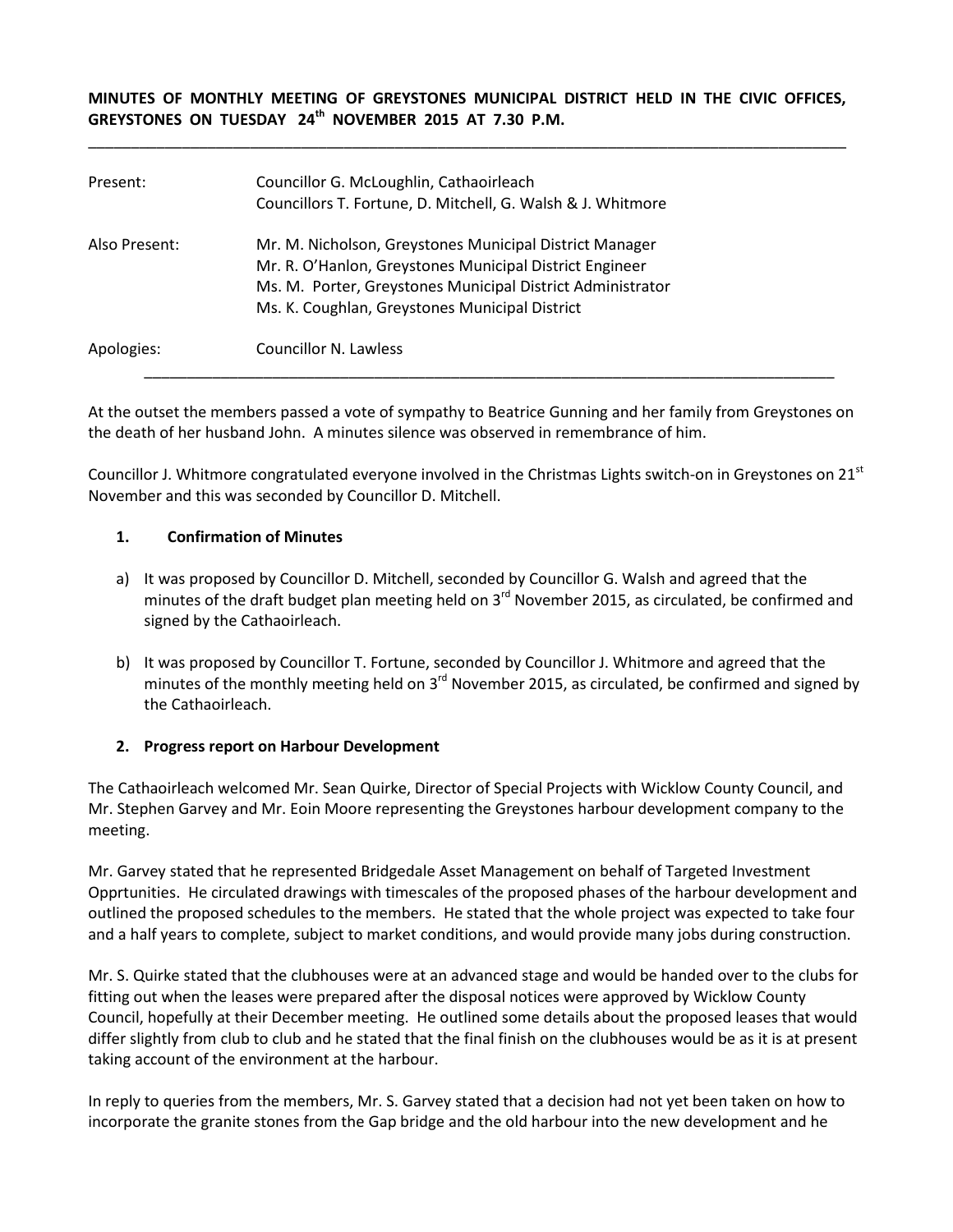## **MINUTES OF MONTHLY MEETING OF GREYSTONES MUNICIPAL DISTRICT HELD IN THE CIVIC OFFICES, GREYSTONES ON TUESDAY 24th NOVEMBER 2015 AT 7.30 P.M.**

\_\_\_\_\_\_\_\_\_\_\_\_\_\_\_\_\_\_\_\_\_\_\_\_\_\_\_\_\_\_\_\_\_\_\_\_\_\_\_\_\_\_\_\_\_\_\_\_\_\_\_\_\_\_\_\_\_\_\_\_\_\_\_\_\_\_\_\_\_\_\_\_\_\_\_\_\_\_\_\_\_\_\_\_\_\_\_\_\_

| Present:      | Councillor G. McLoughlin, Cathaoirleach<br>Councillors T. Fortune, D. Mitchell, G. Walsh & J. Whitmore                                                                                                                             |
|---------------|------------------------------------------------------------------------------------------------------------------------------------------------------------------------------------------------------------------------------------|
| Also Present: | Mr. M. Nicholson, Greystones Municipal District Manager<br>Mr. R. O'Hanlon, Greystones Municipal District Engineer<br>Ms. M. Porter, Greystones Municipal District Administrator<br>Ms. K. Coughlan, Greystones Municipal District |
| Apologies:    | Councillor N. Lawless                                                                                                                                                                                                              |

At the outset the members passed a vote of sympathy to Beatrice Gunning and her family from Greystones on the death of her husband John. A minutes silence was observed in remembrance of him.

Councillor J. Whitmore congratulated everyone involved in the Christmas Lights switch-on in Greystones on 21<sup>st</sup> November and this was seconded by Councillor D. Mitchell.

#### **1. Confirmation of Minutes**

- a) It was proposed by Councillor D. Mitchell, seconded by Councillor G. Walsh and agreed that the minutes of the draft budget plan meeting held on 3<sup>rd</sup> November 2015, as circulated, be confirmed and signed by the Cathaoirleach.
- b) It was proposed by Councillor T. Fortune, seconded by Councillor J. Whitmore and agreed that the minutes of the monthly meeting held on  $3<sup>rd</sup>$  November 2015, as circulated, be confirmed and signed by the Cathaoirleach.

## **2. Progress report on Harbour Development**

The Cathaoirleach welcomed Mr. Sean Quirke, Director of Special Projects with Wicklow County Council, and Mr. Stephen Garvey and Mr. Eoin Moore representing the Greystones harbour development company to the meeting.

Mr. Garvey stated that he represented Bridgedale Asset Management on behalf of Targeted Investment Opprtunities. He circulated drawings with timescales of the proposed phases of the harbour development and outlined the proposed schedules to the members. He stated that the whole project was expected to take four and a half years to complete, subject to market conditions, and would provide many jobs during construction.

Mr. S. Quirke stated that the clubhouses were at an advanced stage and would be handed over to the clubs for fitting out when the leases were prepared after the disposal notices were approved by Wicklow County Council, hopefully at their December meeting. He outlined some details about the proposed leases that would differ slightly from club to club and he stated that the final finish on the clubhouses would be as it is at present taking account of the environment at the harbour.

In reply to queries from the members, Mr. S. Garvey stated that a decision had not yet been taken on how to incorporate the granite stones from the Gap bridge and the old harbour into the new development and he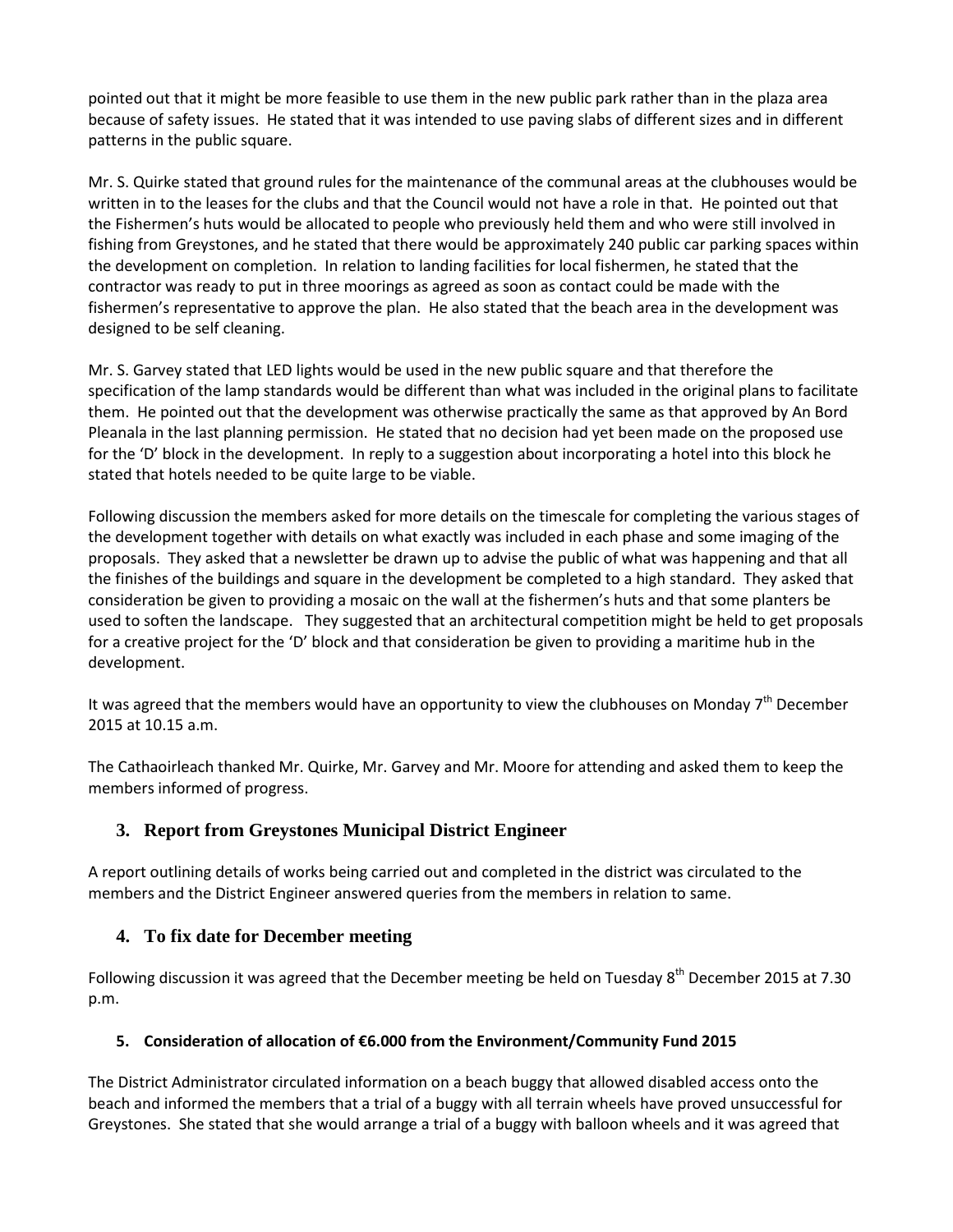pointed out that it might be more feasible to use them in the new public park rather than in the plaza area because of safety issues. He stated that it was intended to use paving slabs of different sizes and in different patterns in the public square.

Mr. S. Quirke stated that ground rules for the maintenance of the communal areas at the clubhouses would be written in to the leases for the clubs and that the Council would not have a role in that. He pointed out that the Fishermen's huts would be allocated to people who previously held them and who were still involved in fishing from Greystones, and he stated that there would be approximately 240 public car parking spaces within the development on completion. In relation to landing facilities for local fishermen, he stated that the contractor was ready to put in three moorings as agreed as soon as contact could be made with the fishermen's representative to approve the plan. He also stated that the beach area in the development was designed to be self cleaning.

Mr. S. Garvey stated that LED lights would be used in the new public square and that therefore the specification of the lamp standards would be different than what was included in the original plans to facilitate them. He pointed out that the development was otherwise practically the same as that approved by An Bord Pleanala in the last planning permission. He stated that no decision had yet been made on the proposed use for the 'D' block in the development. In reply to a suggestion about incorporating a hotel into this block he stated that hotels needed to be quite large to be viable.

Following discussion the members asked for more details on the timescale for completing the various stages of the development together with details on what exactly was included in each phase and some imaging of the proposals. They asked that a newsletter be drawn up to advise the public of what was happening and that all the finishes of the buildings and square in the development be completed to a high standard. They asked that consideration be given to providing a mosaic on the wall at the fishermen's huts and that some planters be used to soften the landscape. They suggested that an architectural competition might be held to get proposals for a creative project for the 'D' block and that consideration be given to providing a maritime hub in the development.

It was agreed that the members would have an opportunity to view the clubhouses on Monday  $7<sup>th</sup>$  December 2015 at 10.15 a.m.

The Cathaoirleach thanked Mr. Quirke, Mr. Garvey and Mr. Moore for attending and asked them to keep the members informed of progress.

# **3. Report from Greystones Municipal District Engineer**

A report outlining details of works being carried out and completed in the district was circulated to the members and the District Engineer answered queries from the members in relation to same.

# **4. To fix date for December meeting**

Following discussion it was agreed that the December meeting be held on Tuesday 8<sup>th</sup> December 2015 at 7.30 p.m.

# **5. Consideration of allocation of €6.000 from the Environment/Community Fund 2015**

The District Administrator circulated information on a beach buggy that allowed disabled access onto the beach and informed the members that a trial of a buggy with all terrain wheels have proved unsuccessful for Greystones. She stated that she would arrange a trial of a buggy with balloon wheels and it was agreed that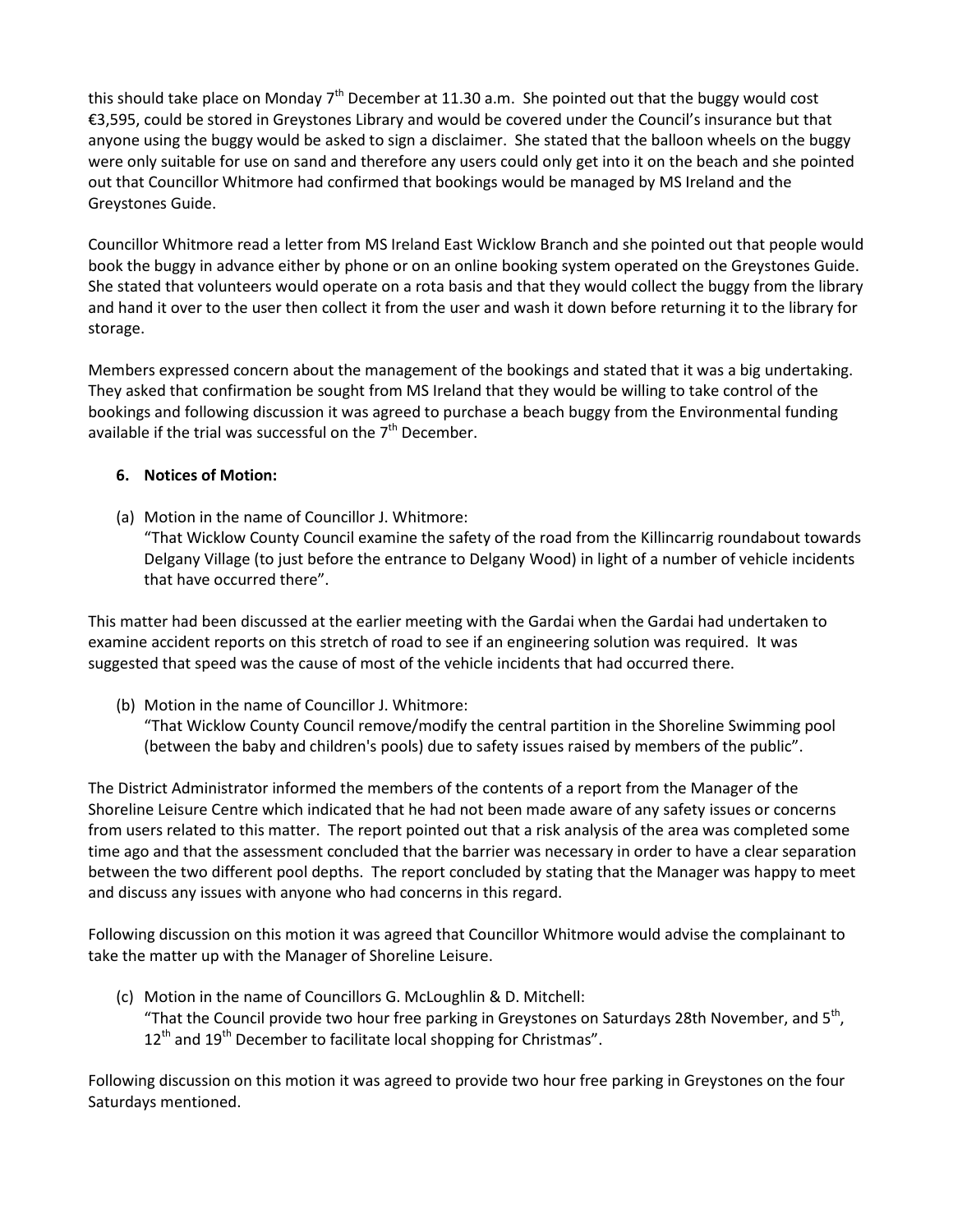this should take place on Monday  $7<sup>th</sup>$  December at 11.30 a.m. She pointed out that the buggy would cost €3,595, could be stored in Greystones Library and would be covered under the Council's insurance but that anyone using the buggy would be asked to sign a disclaimer. She stated that the balloon wheels on the buggy were only suitable for use on sand and therefore any users could only get into it on the beach and she pointed out that Councillor Whitmore had confirmed that bookings would be managed by MS Ireland and the Greystones Guide.

Councillor Whitmore read a letter from MS Ireland East Wicklow Branch and she pointed out that people would book the buggy in advance either by phone or on an online booking system operated on the Greystones Guide. She stated that volunteers would operate on a rota basis and that they would collect the buggy from the library and hand it over to the user then collect it from the user and wash it down before returning it to the library for storage.

Members expressed concern about the management of the bookings and stated that it was a big undertaking. They asked that confirmation be sought from MS Ireland that they would be willing to take control of the bookings and following discussion it was agreed to purchase a beach buggy from the Environmental funding available if the trial was successful on the  $7<sup>th</sup>$  December.

### **6. Notices of Motion:**

(a) Motion in the name of Councillor J. Whitmore:

"That Wicklow County Council examine the safety of the road from the Killincarrig roundabout towards Delgany Village (to just before the entrance to Delgany Wood) in light of a number of vehicle incidents that have occurred there".

This matter had been discussed at the earlier meeting with the Gardai when the Gardai had undertaken to examine accident reports on this stretch of road to see if an engineering solution was required. It was suggested that speed was the cause of most of the vehicle incidents that had occurred there.

(b) Motion in the name of Councillor J. Whitmore:

"That Wicklow County Council remove/modify the central partition in the Shoreline Swimming pool (between the baby and children's pools) due to safety issues raised by members of the public".

The District Administrator informed the members of the contents of a report from the Manager of the Shoreline Leisure Centre which indicated that he had not been made aware of any safety issues or concerns from users related to this matter. The report pointed out that a risk analysis of the area was completed some time ago and that the assessment concluded that the barrier was necessary in order to have a clear separation between the two different pool depths. The report concluded by stating that the Manager was happy to meet and discuss any issues with anyone who had concerns in this regard.

Following discussion on this motion it was agreed that Councillor Whitmore would advise the complainant to take the matter up with the Manager of Shoreline Leisure.

(c) Motion in the name of Councillors G. McLoughlin & D. Mitchell: "That the Council provide two hour free parking in Greystones on Saturdays 28th November, and  $5<sup>th</sup>$ ,  $12<sup>th</sup>$  and  $19<sup>th</sup>$  December to facilitate local shopping for Christmas".

Following discussion on this motion it was agreed to provide two hour free parking in Greystones on the four Saturdays mentioned.